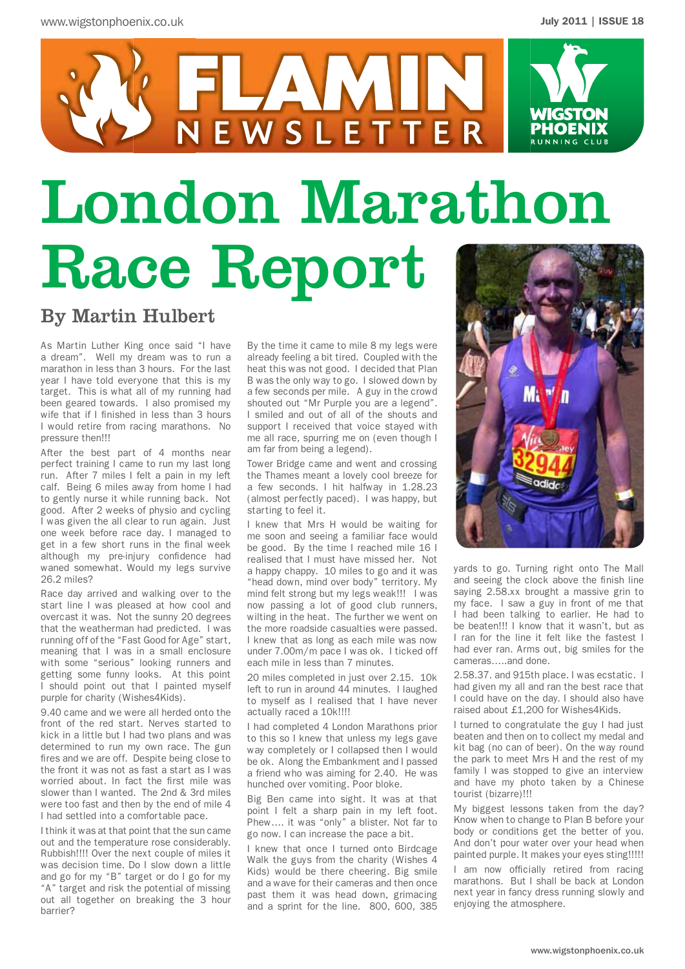

# London Marathon Race Report

## By Martin Hulbert

As Martin Luther King once said "I have a dream". Well my dream was to run a marathon in less than 3 hours. For the last year I have told everyone that this is my target. This is what all of my running had been geared towards. I also promised my wife that if I finished in less than 3 hours I would retire from racing marathons. No pressure then!!!

After the best part of 4 months near perfect training I came to run my last long run. After 7 miles I felt a pain in my left calf. Being 6 miles away from home I had to gently nurse it while running back. Not good. After 2 weeks of physio and cycling I was given the all clear to run again. Just one week before race day. I managed to get in a few short runs in the final week although my pre-injury confidence had waned somewhat. Would my legs survive 26.2 miles?

Race day arrived and walking over to the start line I was pleased at how cool and overcast it was. Not the sunny 20 degrees that the weatherman had predicted. I was running off of the "Fast Good for Age" start, meaning that I was in a small enclosure with some "serious" looking runners and getting some funny looks. At this point I should point out that I painted myself purple for charity (Wishes4Kids).

9.40 came and we were all herded onto the front of the red start. Nerves started to kick in a little but I had two plans and was determined to run my own race. The gun fires and we are off. Despite being close to the front it was not as fast a start as I was worried about. In fact the first mile was slower than I wanted. The 2nd & 3rd miles were too fast and then by the end of mile 4 I had settled into a comfortable pace.

I think it was at that point that the sun came out and the temperature rose considerably. Rubbish!!!! Over the next couple of miles it was decision time. Do I slow down a little and go for my "B" target or do I go for my "A" target and risk the potential of missing out all together on breaking the 3 hour barrier?

By the time it came to mile 8 my legs were already feeling a bit tired. Coupled with the heat this was not good. I decided that Plan B was the only way to go. I slowed down by a few seconds per mile. A guy in the crowd shouted out "Mr Purple you are a legend". I smiled and out of all of the shouts and support I received that voice stayed with me all race, spurring me on (even though I am far from being a legend).

Tower Bridge came and went and crossing the Thames meant a lovely cool breeze for a few seconds. I hit halfway in 1.28.23 (almost perfectly paced). I was happy, but starting to feel it.

I knew that Mrs H would be waiting for me soon and seeing a familiar face would be good. By the time I reached mile 16 I realised that I must have missed her. Not a happy chappy. 10 miles to go and it was "head down, mind over body" territory. My mind felt strong but my legs weak!!! I was now passing a lot of good club runners, wilting in the heat. The further we went on the more roadside casualties were passed. I knew that as long as each mile was now under 7.00m/m pace I was ok. I ticked off each mile in less than 7 minutes.

20 miles completed in just over 2.15. 10k left to run in around 44 minutes. I laughed to myself as I realised that I have never actually raced a 10k!!!!

I had completed 4 London Marathons prior to this so I knew that unless my legs gave way completely or I collapsed then I would be ok. Along the Embankment and I passed a friend who was aiming for 2.40. He was hunched over vomiting. Poor bloke.

Big Ben came into sight. It was at that point I felt a sharp pain in my left foot. Phew…. it was "only" a blister. Not far to go now. I can increase the pace a bit.

I knew that once I turned onto Birdcage Walk the guys from the charity (Wishes 4 Kids) would be there cheering. Big smile and a wave for their cameras and then once past them it was head down, grimacing and a sprint for the line. 800, 600, 385



yards to go. Turning right onto The Mall and seeing the clock above the finish line saying 2.58.xx brought a massive grin to my face. I saw a guy in front of me that I had been talking to earlier. He had to be beaten!!! I know that it wasn't, but as I ran for the line it felt like the fastest I had ever ran. Arms out, big smiles for the cameras…..and done.

2.58.37. and 915th place. I was ecstatic. I had given my all and ran the best race that I could have on the day. I should also have raised about £1,200 for Wishes4Kids.

I turned to congratulate the guy I had just beaten and then on to collect my medal and kit bag (no can of beer). On the way round the park to meet Mrs H and the rest of my family I was stopped to give an interview and have my photo taken by a Chinese tourist (bizarre)!!!

My biggest lessons taken from the day? Know when to change to Plan B before your body or conditions get the better of you. And don't pour water over your head when painted purple. It makes your eyes sting!!!!!

I am now officially retired from racing marathons. But I shall be back at London next year in fancy dress running slowly and enjoying the atmosphere.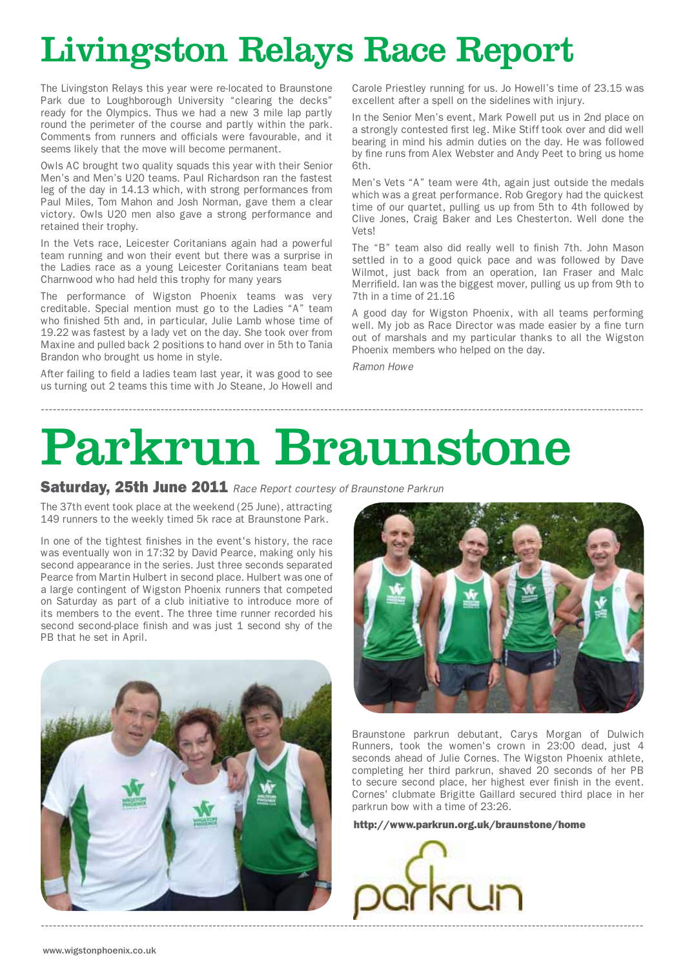# Livingston Relays Race Report

The Livingston Relays this year were re-located to Braunstone Park due to Loughborough University "clearing the decks" ready for the Olympics. Thus we had a new 3 mile lap partly round the perimeter of the course and partly within the park. Comments from runners and officials were favourable, and it seems likely that the move will become permanent.

Owls AC brought two quality squads this year with their Senior Men's and Men's U20 teams. Paul Richardson ran the fastest leg of the day in 14.13 which, with strong performances from Paul Miles, Tom Mahon and Josh Norman, gave them a clear victory. Owls U20 men also gave a strong performance and retained their trophy.

In the Vets race, Leicester Coritanians again had a powerful team running and won their event but there was a surprise in the Ladies race as a young Leicester Coritanians team beat Charnwood who had held this trophy for many years

The performance of Wigston Phoenix teams was very creditable. Special mention must go to the Ladies "A" team who finished 5th and, in particular, Julie Lamb whose time of 19.22 was fastest by a lady vet on the day. She took over from Maxine and pulled back 2 positions to hand over in 5th to Tania Brandon who brought us home in style.

After failing to field a ladies team last year, it was good to see us turning out 2 teams this time with Jo Steane, Jo Howell and Carole Priestley running for us. Jo Howell's time of 23.15 was excellent after a spell on the sidelines with injury.

In the Senior Men's event, Mark Powell put us in 2nd place on a strongly contested first leg. Mike Stiff took over and did well bearing in mind his admin duties on the day. He was followed by fine runs from Alex Webster and Andy Peet to bring us home 6th.

Men's Vets "A" team were 4th, again just outside the medals which was a great performance. Rob Gregory had the quickest time of our quartet, pulling us up from 5th to 4th followed by Clive Jones, Craig Baker and Les Chesterton. Well done the Vets!

The "B" team also did really well to finish 7th. John Mason settled in to a good quick pace and was followed by Dave Wilmot, just back from an operation, Ian Fraser and Malc Merrifield. Ian was the biggest mover, pulling us up from 9th to 7th in a time of 21.16

A good day for Wigston Phoenix, with all teams performing well. My job as Race Director was made easier by a fine turn out of marshals and my particular thanks to all the Wigston Phoenix members who helped on the day.

*Ramon Howe*

# Parkrun Braunstone

-------------------------------------------------------------------------------------------------------------------------------------------------------

Saturday, 25th June 2011 *Race Report courtesy of Braunstone Parkrun*

The 37th event took place at the weekend (25 June), attracting 149 runners to the weekly timed 5k race at Braunstone Park.

In one of the tightest finishes in the event's history, the race was eventually won in 17:32 by David Pearce, making only his second appearance in the series. Just three seconds separated Pearce from Martin Hulbert in second place. Hulbert was one of a large contingent of Wigston Phoenix runners that competed on Saturday as part of a club initiative to introduce more of its members to the event. The three time runner recorded his second second-place finish and was just 1 second shy of the PB that he set in April.





Braunstone parkrun debutant, Carys Morgan of Dulwich Runners, took the women's crown in 23:00 dead, just 4 seconds ahead of Julie Cornes. The Wigston Phoenix athlete, completing her third parkrun, shaved 20 seconds of her PB to secure second place, her highest ever finish in the event. Cornes' clubmate Brigitte Gaillard secured third place in her parkrun bow with a time of 23:26.

http://www.parkrun.org.uk/braunstone/home

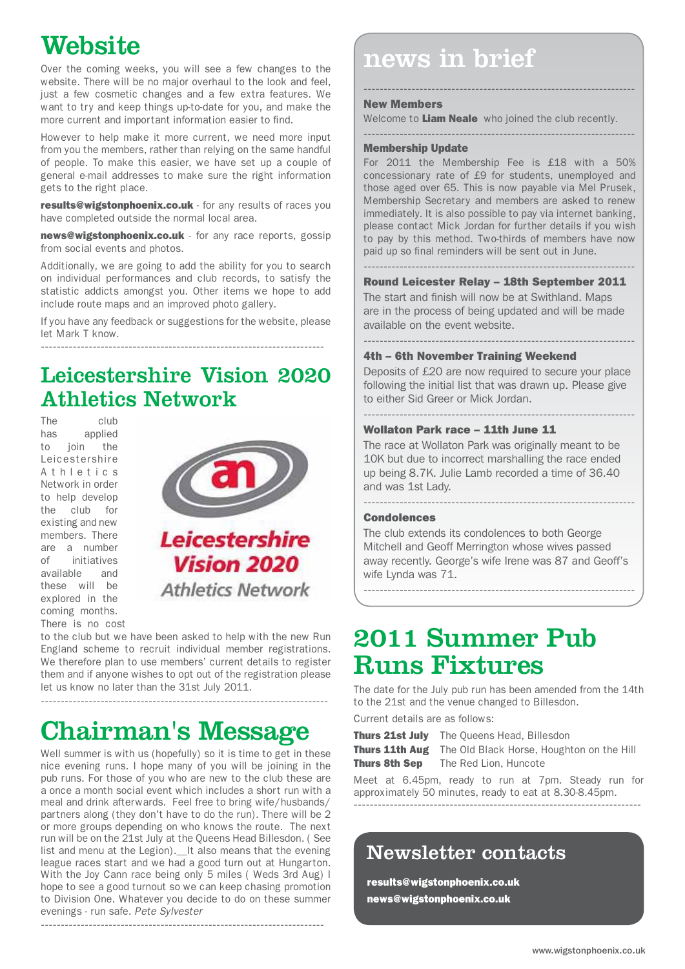## **Website**

website. There will be no major overhaul to the look and feel, just a few cosmetic changes and a few extra features. We want to try and keep things up-to-date for you, and make the more current and important information easier to find.

However to help make it more current, we need more input from you the members, rather than relying on the same handful of people. To make this easier, we have set up a couple of general e-mail addresses to make sure the right information gets to the right place.

results@wigstonphoenix.co.uk - for any results of races you have completed outside the normal local area.

news@wigstonphoenix.co.uk - for any race reports, gossip from social events and photos.

Additionally, we are going to add the ability for you to search on individual performances and club records, to satisfy the statistic addicts amongst you. Other items we hope to add include route maps and an improved photo gallery.

If you have any feedback or suggestions for the website, please let Mark T know. -----------------------------------------------------------------------

## Leicestershire Vision 2020 Athletics Network

The club<br>has applied applied to join the Leicestershire A t h l e t i c s Network in order to help develop the club for existing and new members. There are a number of initiatives available and these will be explored in the coming months. There is no cost



to the club but we have been asked to help with the new Run England scheme to recruit individual member registrations. We therefore plan to use members' current details to register them and if anyone wishes to opt out of the registration please let us know no later than the 31st July 2011.

------------------------------------------------------------------------

## Chairman's Message

Well summer is with us (hopefully) so it is time to get in these nice evening runs. I hope many of you will be joining in the pub runs. For those of you who are new to the club these are a once a month social event which includes a short run with a meal and drink afterwards. Feel free to bring wife/husbands/ partners along (they don't have to do the run). There will be 2 or more groups depending on who knows the route. The next run will be on the 21st July at the Queens Head Billesdon. ( See list and menu at the Legion).\_\_ It also means that the evening league races start and we had a good turn out at Hungarton. With the Joy Cann race being only 5 miles ( Weds 3rd Aug) I hope to see a good turnout so we can keep chasing promotion to Division One. Whatever you decide to do on these summer evenings - run safe. *Pete Sylvester*

-----------------------------------------------------------------------

# **VY GUDIUG**<br>Over the coming weeks, you will see a few changes to the news in brief

#### New Members

Welcome to Liam Neale who joined the club recently.

--------------------------------------------------------------------

--------------------------------------------------------------------

#### Membership Update

For 2011 the Membership Fee is £18 with a 50% concessionary rate of £9 for students, unemployed and those aged over 65. This is now payable via Mel Prusek, Membership Secretary and members are asked to renew immediately. It is also possible to pay via internet banking, please contact Mick Jordan for further details if you wish to pay by this method. Two-thirds of members have now paid up so final reminders will be sent out in June.

#### -------------------------------------------------------------------- Round Leicester Relay – 18th September 2011

The start and finish will now be at Swithland. Maps are in the process of being updated and will be made available on the event website.

#### 4th – 6th November Training Weekend

Deposits of £20 are now required to secure your place following the initial list that was drawn up. Please give to either Sid Greer or Mick Jordan.

--------------------------------------------------------------------

--------------------------------------------------------------------

#### Wollaton Park race – 11th June 11

The race at Wollaton Park was originally meant to be 10K but due to incorrect marshalling the race ended up being 8.7K. Julie Lamb recorded a time of 36.40 and was 1st Lady.

#### -------------------------------------------------------------------- Condolences

The club extends its condolences to both George Mitchell and Geoff Merrington whose wives passed away recently. George's wife Irene was 87 and Geoff's wife Lynda was 71.

--------------------------------------------------------------------

## 2011 Summer Pub Runs Fixtures

The date for the July pub run has been amended from the 14th to the 21st and the venue changed to Billesdon.

Current details are as follows:

Thurs 21st July The Queens Head, Billesdon Thurs 11th Aug The Old Black Horse, Houghton on the Hill Thurs 8th Sep The Red Lion, Huncote

Meet at 6.45pm, ready to run at 7pm. Steady run for approximately 50 minutes, ready to eat at 8.30-8.45pm. ------------------------------------------------------------------------

### Newsletter contacts

results@wigstonphoenix.co.uk news@wigstonphoenix.co.uk